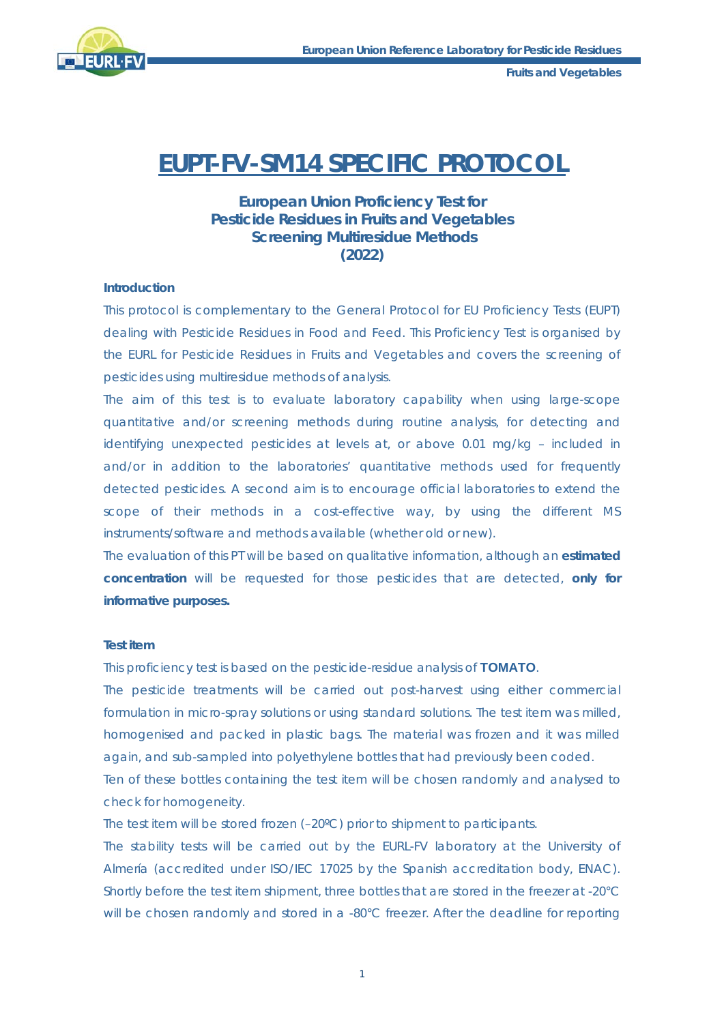

**Fruits and Vegetables**

# **EUPT-FV-SM14 SPECIFIC PROTOCOL**

## **European Union Proficiency Test for Pesticide Residues in Fruits and Vegetables Screening Multiresidue Methods (2022)**

### **Introduction**

This protocol is complementary to the General Protocol for EU Proficiency Tests (EUPT) dealing with Pesticide Residues in Food and Feed. This Proficiency Test is organised by the EURL for Pesticide Residues in Fruits and Vegetables and covers the screening of pesticides using multiresidue methods of analysis.

The aim of this test is to evaluate laboratory capability when using large-scope quantitative and/or screening methods during routine analysis, for detecting and identifying unexpected pesticides at levels at, or above 0.01 mg/kg – included in and/or in addition to the laboratories' quantitative methods used for frequently detected pesticides. A second aim is to encourage official laboratories to extend the scope of their methods in a cost-effective way, by using the different MS instruments/software and methods available (whether old or new).

The evaluation of this PT will be based on qualitative information, although an **estimated concentration** will be requested for those pesticides that are detected, **only for informative purposes.**

## **Test item**

This proficiency test is based on the pesticide-residue analysis of **TOMATO**.

The pesticide treatments will be carried out post-harvest using either commercial formulation in micro-spray solutions or using standard solutions. The test item was milled, homogenised and packed in plastic bags. The material was frozen and it was milled again, and sub-sampled into polyethylene bottles that had previously been coded.

Ten of these bottles containing the test item will be chosen randomly and analysed to check for homogeneity.

The test item will be stored frozen (–20ºC) prior to shipment to participants.

The stability tests will be carried out by the EURL-FV laboratory at the University of Almería (accredited under ISO/IEC 17025 by the Spanish accreditation body, ENAC). Shortly before the test item shipment, three bottles that are stored in the freezer at -20°C will be chosen randomly and stored in a -80°C freezer. After the deadline for reporting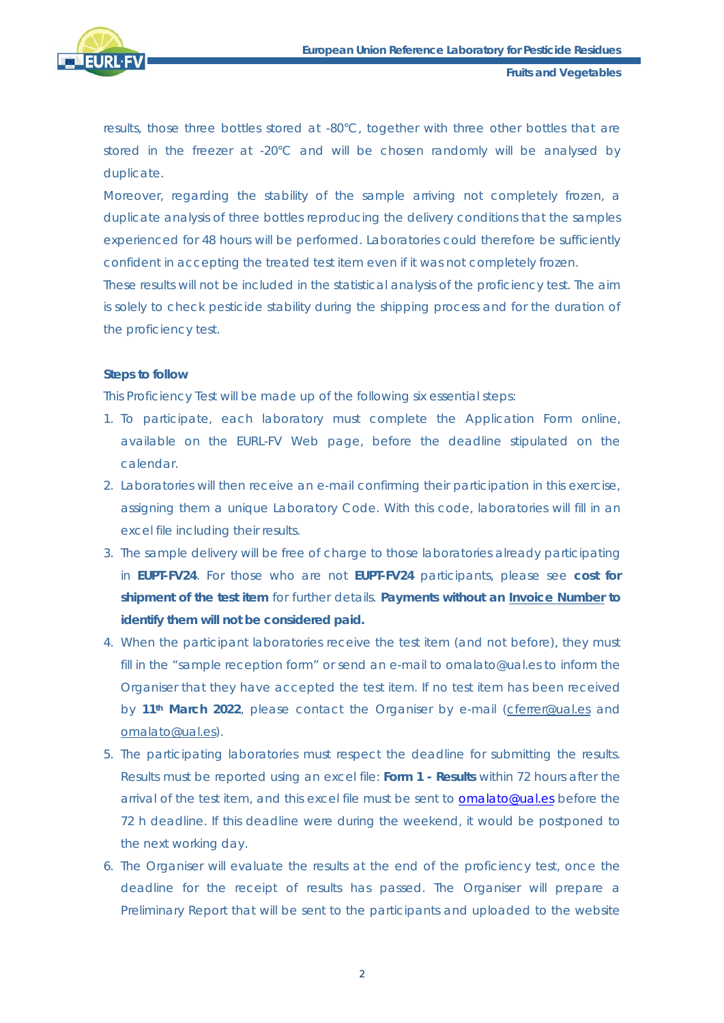

**Fruits and Vegetables**

results, those three bottles stored at -80°C, together with three other bottles that are stored in the freezer at -20°C and will be chosen randomly will be analysed by duplicate.

Moreover, regarding the stability of the sample arriving not completely frozen, a duplicate analysis of three bottles reproducing the delivery conditions that the samples experienced for 48 hours will be performed. Laboratories could therefore be sufficiently confident in accepting the treated test item even if it was not completely frozen.

These results will not be included in the statistical analysis of the proficiency test. The aim is solely to check pesticide stability during the shipping process and for the duration of the proficiency test.

#### **Steps to follow**

This Proficiency Test will be made up of the following six essential steps:

- 1. To participate, each laboratory must complete the Application Form online, available on the EURL-FV Web page, before the deadline stipulated on the calendar.
- 2. Laboratories will then receive an e-mail confirming their participation in this exercise, assigning them a unique Laboratory Code. With this code, laboratories will fill in an excel file including their results.
- 3. The sample delivery will be free of charge to those laboratories already participating in **EUPT-FV24**. For those who are not **EUPT-FV24** participants, please see **cost for shipment of the test item** for further details. **Payments without an Invoice Number to identify them will not be considered paid.**
- 4. When the participant laboratories receive the test item (and not before), they must fill in the "sample reception form" or send an e-mail to omalato@ual.es to inform the Organiser that they have accepted the test item. If no test item has been received by **11th March 2022**, please contact the Organiser by e-mail [\(cferrer@ual.es](mailto:cferrer@ual.es) and [omalato@ual.es\)](mailto:omalato@ual.es).
- 5. The participating laboratories must respect the deadline for submitting the results. Results must be reported using an excel file: **Form 1 - Results** within 72 hours after the arrival of the test item, and this excel file must be sent to **omalato@ual.es** before the 72 h deadline. If this deadline were during the weekend, it would be postponed to the next working day.
- 6. The Organiser will evaluate the results at the end of the proficiency test, once the deadline for the receipt of results has passed. The Organiser will prepare a Preliminary Report that will be sent to the participants and uploaded to the website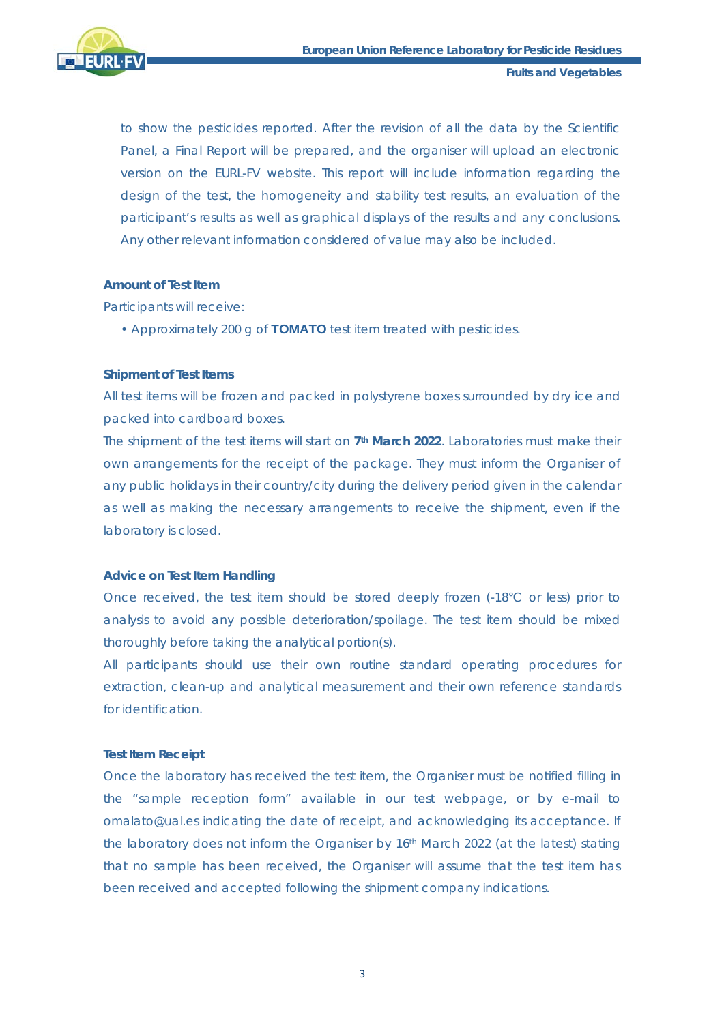

to show the pesticides reported. After the revision of all the data by the Scientific Panel, a Final Report will be prepared, and the organiser will upload an electronic version on the EURL-FV website. This report will include information regarding the design of the test, the homogeneity and stability test results, an evaluation of the participant's results as well as graphical displays of the results and any conclusions. Any other relevant information considered of value may also be included.

## **Amount of Test Item**

Participants will receive:

• Approximately 200 g of **TOMATO** test item treated with pesticides.

## **Shipment of Test Items**

All test items will be frozen and packed in polystyrene boxes surrounded by dry ice and packed into cardboard boxes.

The shipment of the test items will start on **7th March 2022**. Laboratories must make their own arrangements for the receipt of the package. They must inform the Organiser of any public holidays in their country/city during the delivery period given in the calendar as well as making the necessary arrangements to receive the shipment, even if the laboratory is closed.

#### **Advice on Test Item Handling**

Once received, the test item should be stored deeply frozen (-18°C or less) prior to analysis to avoid any possible deterioration/spoilage. The test item should be mixed thoroughly before taking the analytical portion(s).

All participants should use their own routine standard operating procedures for extraction, clean-up and analytical measurement and their own reference standards for identification.

## **Test Item Receipt**

Once the laboratory has received the test item, the Organiser must be notified filling in the "sample reception form" available in our test webpage, or by e-mail to omalato@ual.es indicating the date of receipt, and acknowledging its acceptance. If the laboratory does not inform the Organiser by 16<sup>th</sup> March 2022 (at the latest) stating that no sample has been received, the Organiser will assume that the test item has been received and accepted following the shipment company indications.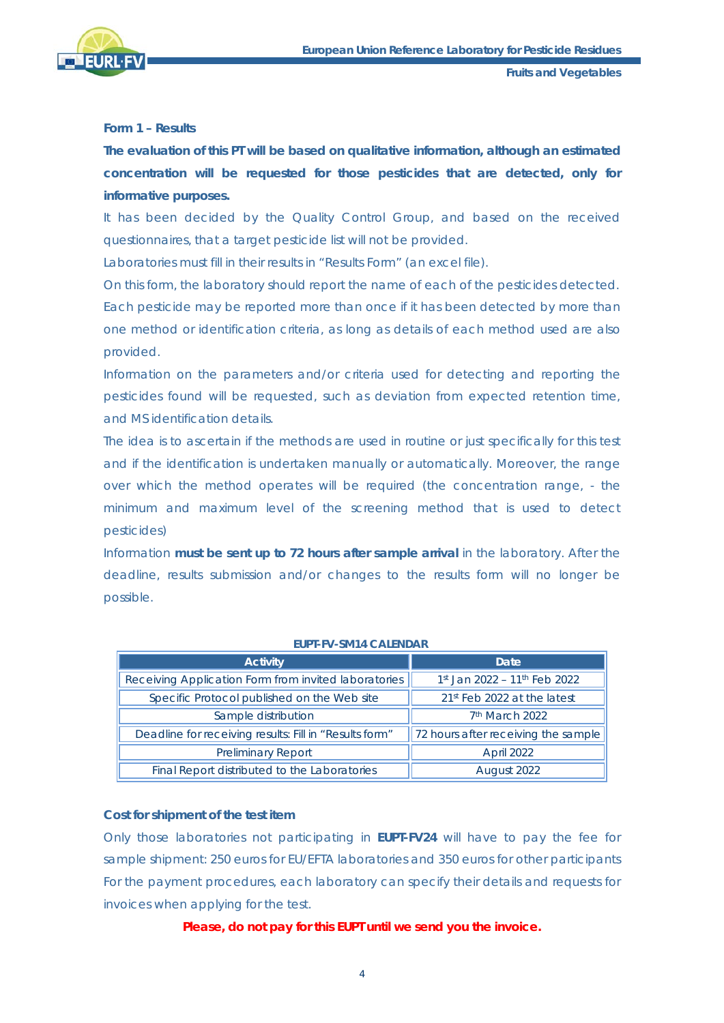

## **Form 1 – Results**

**The evaluation of this PT will be based on qualitative information, although an estimated concentration will be requested for those pesticides that are detected, only for informative purposes.** 

It has been decided by the Quality Control Group, and based on the received questionnaires, that a target pesticide list will not be provided.

Laboratories must fill in their results in "Results Form" (an excel file).

On this form, the laboratory should report the name of each of the pesticides detected. Each pesticide may be reported more than once if it has been detected by more than one method or identification criteria, as long as details of each method used are also provided.

Information on the parameters and/or criteria used for detecting and reporting the pesticides found will be requested, such as deviation from expected retention time, and MS identification details.

The idea is to ascertain if the methods are used in routine or just specifically for this test and if the identification is undertaken manually or automatically. Moreover, the range over which the method operates will be required (the concentration range, - the minimum and maximum level of the screening method that is used to detect pesticides)

Information **must be sent up to 72 hours after sample arrival** in the laboratory. After the deadline, results submission and/or changes to the results form will no longer be possible.

| <b>Activity</b>                                        | Date                                |
|--------------------------------------------------------|-------------------------------------|
| Receiving Application Form from invited laboratories   | 1st Jan 2022 - 11th Feb 2022        |
| Specific Protocol published on the Web site            | 21st Feb 2022 at the latest         |
| Sample distribution                                    | 7 <sup>th</sup> March 2022          |
| Deadline for receiving results: Fill in "Results form" | 72 hours after receiving the sample |
| <b>Preliminary Report</b>                              | April 2022                          |
| Final Report distributed to the Laboratories           | August 2022                         |

#### **Cost for shipment of the test item**

Only those laboratories not participating in **EUPT-FV24** will have to pay the fee for sample shipment: 250 euros for EU/EFTA laboratories and 350 euros for other participants For the payment procedures, each laboratory can specify their details and requests for invoices when applying for the test.

#### **Please, do not pay for this EUPT until we send you the invoice.**